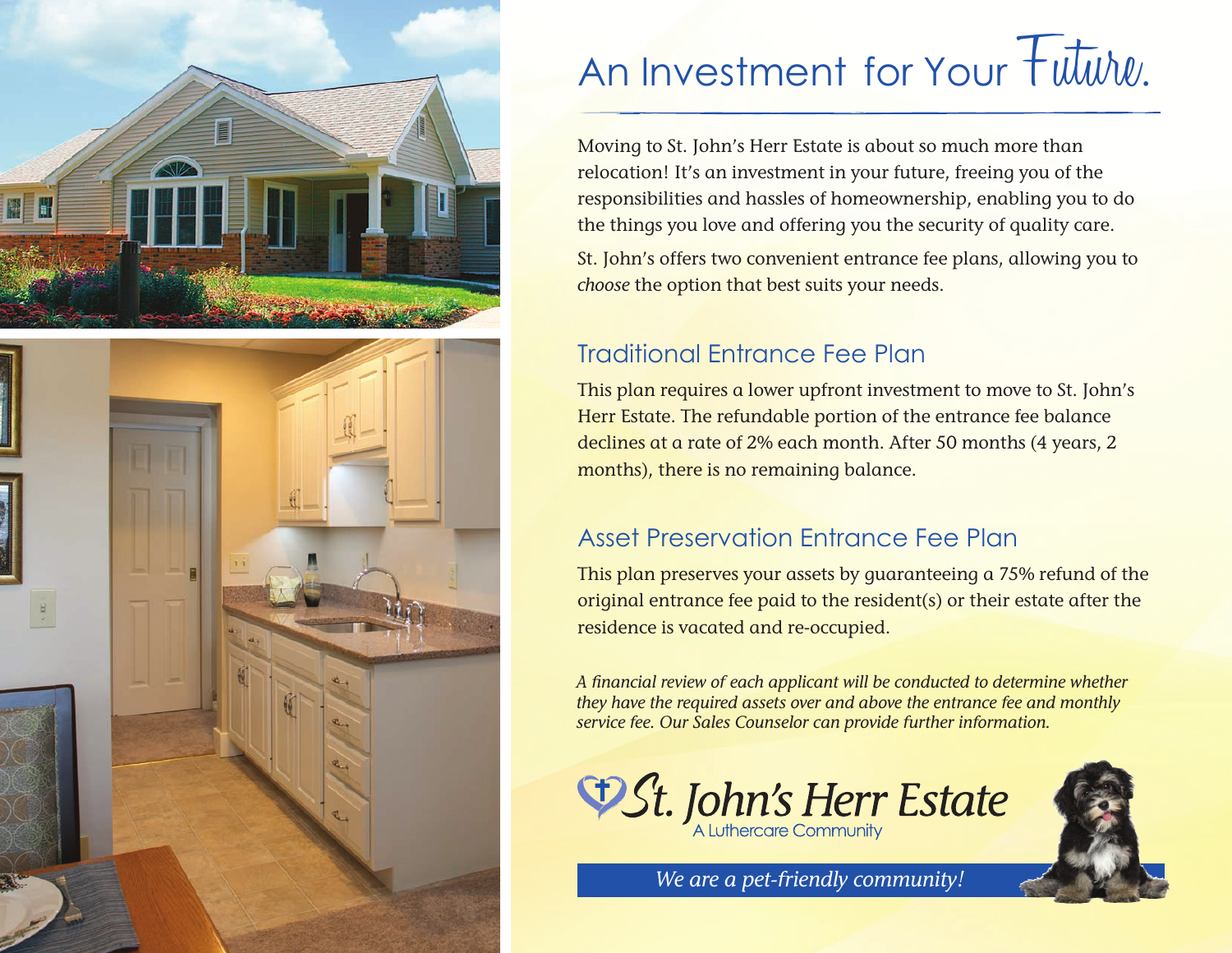



# An Investment for Your Future.

Moving to St. John's Herr Estate is about so much more than relocation! It's an investment in your future, freeing you of the responsibilities and hassles of homeownership, enabling you to do the things you love and offering you the security of quality care.

St. John's offers two convenient entrance fee plans, allowing you to *choose* the option that best suits your needs.

## Traditional Entrance Fee Plan

This plan requires a lower upfront investment to move to St. John's Herr Estate. The refundable portion of the entrance fee balance declines at a rate of 2% each month. After 50 months (4 years, 2 months), there is no remaining balance.

## Asset Preservation Entrance Fee Plan

This plan preserves your assets by guaranteeing a 75% refund of the original entrance fee paid to the resident(s) or their estate after the residence is vacated and re-occupied.

*A financial review of each applicant will be conducted to determine whether they have the required assets over and above the entrance fee and monthly service fee. Our Sales Counselor can provide further information.*



*We are a pet-friendly community!*